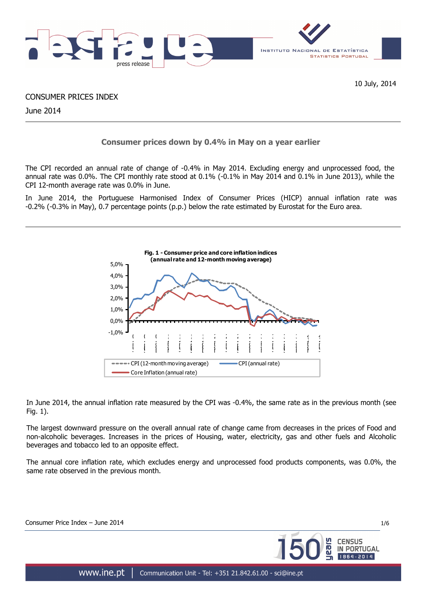

10 July, 2014

CONSUMER PRICES INDEX

June 2014

# **Consumer prices down by 0.4% in May on a year earlier**

The CPI recorded an annual rate of change of -0.4% in May 2014. Excluding energy and unprocessed food, the annual rate was 0.0%. The CPI monthly rate stood at 0.1% (-0.1% in May 2014 and 0.1% in June 2013), while the CPI 12-month average rate was 0.0% in June.

In June 2014, the Portuguese Harmonised Index of Consumer Prices (HICP) annual inflation rate was -0.2% (-0.3% in May), 0.7 percentage points (p.p.) below the rate estimated by Eurostat for the Euro area.



In June 2014, the annual inflation rate measured by the CPI was -0.4%, the same rate as in the previous month (see Fig. 1).

The largest downward pressure on the overall annual rate of change came from decreases in the prices of Food and non-alcoholic beverages. Increases in the prices of Housing, water, electricity, gas and other fuels and Alcoholic beverages and tobacco led to an opposite effect.

The annual core inflation rate, which excludes energy and unprocessed food products components, was 0.0%, the same rate observed in the previous month.

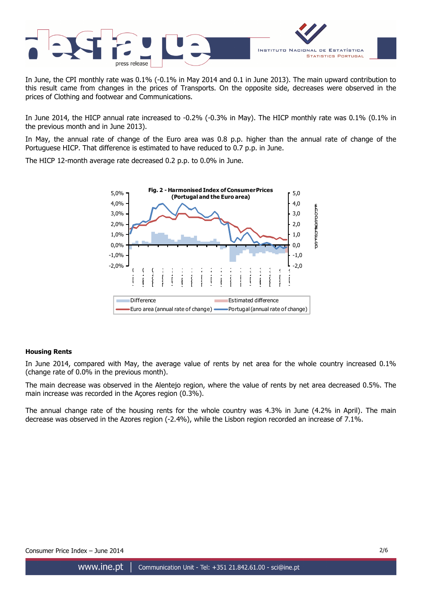

In June, the CPI monthly rate was 0.1% (-0.1% in May 2014 and 0.1 in June 2013). The main upward contribution to this result came from changes in the prices of Transports. On the opposite side, decreases were observed in the prices of Clothing and footwear and Communications.

In June 2014, the HICP annual rate increased to -0.2% (-0.3% in May). The HICP monthly rate was 0.1% (0.1% in the previous month and in June 2013).

In May, the annual rate of change of the Euro area was 0.8 p.p. higher than the annual rate of change of the Portuguese HICP. That difference is estimated to have reduced to 0.7 p.p. in June.

The HICP 12-month average rate decreased 0.2 p.p. to 0.0% in June.



# **Housing Rents**

In June 2014, compared with May, the average value of rents by net area for the whole country increased 0.1% (change rate of 0.0% in the previous month).

The main decrease was observed in the Alentejo region, where the value of rents by net area decreased 0.5%. The main increase was recorded in the Açores region (0.3%).

The annual change rate of the housing rents for the whole country was 4.3% in June (4.2% in April). The main decrease was observed in the Azores region (-2.4%), while the Lisbon region recorded an increase of 7.1%.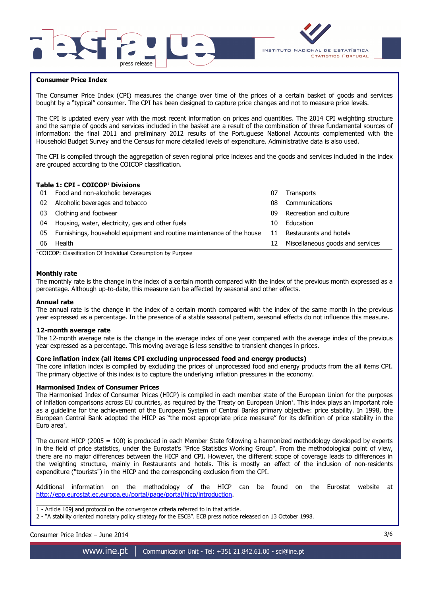



## **Consumer Price Index**

The Consumer Price Index (CPI) measures the change over time of the prices of a certain basket of goods and services bought by a "typical" consumer. The CPI has been designed to capture price changes and not to measure price levels.

The CPI is updated every year with the most recent information on prices and quantities. The 2014 CPI weighting structure and the sample of goods and services included in the basket are a result of the combination of three fundamental sources of information: the final 2011 and preliminary 2012 results of the Portuguese National Accounts complemented with the Household Budget Survey and the Census for more detailed levels of expenditure. Administrative data is also used.

The CPI is compiled through the aggregation of seven regional price indexes and the goods and services included in the index are grouped according to the COICOP classification.

## **Table 1: CPI - COICOP<sup>1</sup> Divisions**

| 01 | Food and non-alcoholic beverages                                      | 07 | <b>Transports</b>                |
|----|-----------------------------------------------------------------------|----|----------------------------------|
| 02 | Alcoholic beverages and tobacco                                       | 08 | Communications                   |
| 03 | Clothing and footwear                                                 | 09 | Recreation and culture           |
| 04 | Housing, water, electricity, gas and other fuels                      | 10 | Education                        |
| 05 | Furnishings, household equipment and routine maintenance of the house | 11 | Restaurants and hotels           |
| 06 | Health                                                                | 12 | Miscellaneous goods and services |
|    | $\cdots$<br>$\cdots$<br>$\sim$                                        |    |                                  |

<sup>1</sup> COICOP: Classification Of Individual Consumption by Purpose

## **Monthly rate**

The monthly rate is the change in the index of a certain month compared with the index of the previous month expressed as a percentage. Although up-to-date, this measure can be affected by seasonal and other effects.

#### **Annual rate**

The annual rate is the change in the index of a certain month compared with the index of the same month in the previous year expressed as a percentage. In the presence of a stable seasonal pattern, seasonal effects do not influence this measure.

#### **12-month average rate**

The 12-month average rate is the change in the average index of one year compared with the average index of the previous year expressed as a percentage. This moving average is less sensitive to transient changes in prices.

#### **Core inflation index (all items CPI excluding unprocessed food and energy products)**

The core inflation index is compiled by excluding the prices of unprocessed food and energy products from the all items CPI. The primary objective of this index is to capture the underlying inflation pressures in the economy.

#### **Harmonised Index of Consumer Prices**

The Harmonised Index of Consumer Prices (HICP) is compiled in each member state of the European Union for the purposes of inflation comparisons across EU countries, as required by the Treaty on European Union'. This index plays an important role as a guideline for the achievement of the European System of Central Banks primary objective: price stability. In 1998, the European Central Bank adopted the HICP as "the most appropriate price measure" for its definition of price stability in the Euro area<sup>2</sup>.

The current HICP (2005 = 100) is produced in each Member State following a harmonized methodology developed by experts in the field of price statistics, under the Eurostat's "Price Statistics Working Group". From the methodological point of view, there are no major differences between the HICP and CPI. However, the different scope of coverage leads to differences in the weighting structure, mainly in Restaurants and hotels. This is mostly an effect of the inclusion of non-residents expenditure ("tourists") in the HICP and the corresponding exclusion from the CPI.

Additional information on the methodology of the HICP can be found on the Eurostat website at http://epp.eurostat.ec.europa.eu/portal/page/portal/hicp/introduction.

\_\_\_\_\_\_\_\_\_\_\_\_\_\_\_\_\_\_\_\_\_ 1 - Article 109j and protocol on the convergence criteria referred to in that article.

2 - "A stability oriented monetary policy strategy for the ESCB". ECB press notice released on 13 October 1998.

Consumer Price Index – June 2014 3/6

www.ine.pt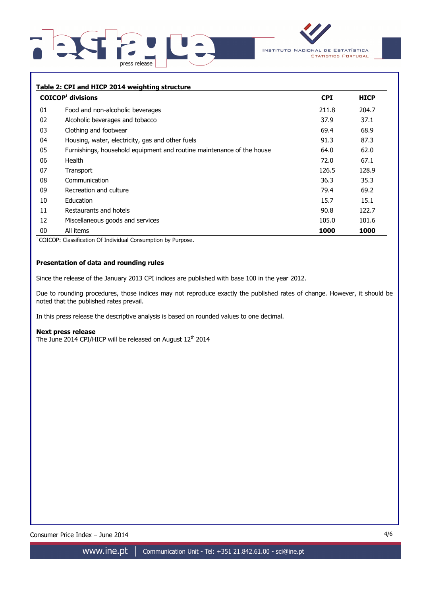



# **Table 2: CPI and HICP 2014 weighting structure COICOP<sup>1</sup> divisions CPI HICP**  01 Food and non-alcoholic beverages 211.8 204.7 02 Alcoholic beverages and tobacco 37.9 37.1 03 Clothing and footwear 68.9 04 Housing, water, electricity, gas and other fuels 87.3 87.3 87.3 05 Furnishings, household equipment and routine maintenance of the house 64.0 62.0 06 Health 72.0 67.1 07 Transport 128.9 (128.9 ) and the set of the set of the set of the set of the set of the set of the set of t 08 Communication 36.3 35.3 09 Recreation and culture **1998 Recreation and culture** 1998 10 Education 15.7 15.1 11 Restaurants and hotels 90.8 122.7 12 Miscellaneous goods and services 105.0 101.6 105.0 101.6 00 All items **1000 1000**

<sup>1</sup> COICOP: Classification Of Individual Consumption by Purpose.

# **Presentation of data and rounding rules**

Since the release of the January 2013 CPI indices are published with base 100 in the year 2012.

Due to rounding procedures, those indices may not reproduce exactly the published rates of change. However, it should be noted that the published rates prevail.

In this press release the descriptive analysis is based on rounded values to one decimal.

#### **Next press release**

The June 2014 CPI/HICP will be released on August  $12<sup>th</sup>$  2014

Consumer Price Index – June 2014 4/6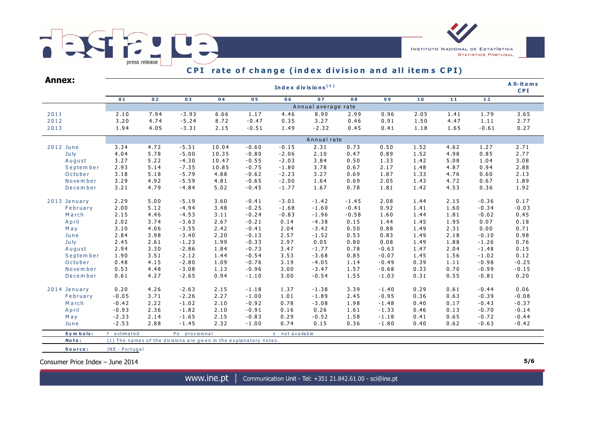# FRSTPPLE,  $\overline{\phantom{a}}$  press release



| Annex:       |                     | Index divisions $(1)$ |                                                                    |       |                |                 |                       |         |         |      |      |         |         |  |  |  |  |  |
|--------------|---------------------|-----------------------|--------------------------------------------------------------------|-------|----------------|-----------------|-----------------------|---------|---------|------|------|---------|---------|--|--|--|--|--|
|              | 01                  | 02                    | 03                                                                 | 04    | 0 <sub>5</sub> | 06              | 07                    | 08      | 09      | 10   | $11$ | $12$    |         |  |  |  |  |  |
|              | Annual average rate |                       |                                                                    |       |                |                 |                       |         |         |      |      |         |         |  |  |  |  |  |
| 2011         | 2.10                | 7.94                  | $-3.93$                                                            | 6.66  | 1.17           | 4.46            | 8.90                  | 2.99    | 0.96    | 2.05 | 1.41 | 1.79    | 3.65    |  |  |  |  |  |
| 2012         | 3.20                | 4.74                  | $-5.24$                                                            | 8.72  | $-0.47$        | 0.35            | 3.27                  | 0.46    | 0.91    | 1.50 | 4.47 | 1.11    | 2.77    |  |  |  |  |  |
| 2013         | 1.94                | 4.05                  | $-3.31$                                                            | 2.15  | $-0.51$        | 1.49            | $-2.32$               | 0.45    | 0.41    | 1.18 | 1.65 | $-0.61$ | 0.27    |  |  |  |  |  |
|              |                     |                       |                                                                    |       |                |                 |                       |         |         |      |      |         |         |  |  |  |  |  |
| 2012 June    | 3.34                | 4.72                  | $-5.31$                                                            | 10.04 | $-0.60$        | $-0.15$         | 2.31                  | 0.73    | 0.50    | 1.52 | 4.62 | 1.27    | 2.71    |  |  |  |  |  |
| July         | 4.04                | 5.78                  | $-5.00$                                                            | 10.35 | $-0.80$        | $-2.06$         | 2.10                  | 0.47    | 0.89    | 1.52 | 4.98 | 0.85    | 2.77    |  |  |  |  |  |
| August       | 3.27                | 5.22                  | $-4.30$                                                            | 10.47 | $-0.55$        | $-2.03$         | 3.84                  | 0.50    | 1.33    | 1.42 | 5.08 | 1.04    | 3.08    |  |  |  |  |  |
| September    | 2.93                | 5.14                  | $-7.35$                                                            | 10.85 | $-0.75$        | $-1.80$         | 3.78                  | 0.67    | 2.17    | 1.48 | 4.87 | 0.94    | 2.88    |  |  |  |  |  |
| October      | 3.18                | 5.18                  | $-5.79$                                                            | 4.88  | $-0.62$        | $-2.23$         | 3.27                  | 0.69    | 1.87    | 1.33 | 4.76 | 0.60    | 2.13    |  |  |  |  |  |
| Novem ber    | 3.29                | 4.92                  | $-5.59$                                                            | 4.81  | $-0.65$        | $-2.00$         | 1.64                  | 0.69    | 2.05    | 1.43 | 4.72 | 0.67    | 1.89    |  |  |  |  |  |
| December     | 3.21                | 4.79                  | $-4.84$                                                            | 5.02  | $-0.45$        | $-1.77$         | 1.67                  | 0.78    | 1.81    | 1.42 | 4.53 | 0.36    | 1.92    |  |  |  |  |  |
| 2013 January | 2.29                | 5.00                  | $-5.19$                                                            | 3.60  | $-0.41$        | $-3.01$         | $-1.42$               | $-1.45$ | 2.08    | 1.44 | 2.15 | $-0.36$ | 0.17    |  |  |  |  |  |
| February     | 2.00                | 5.12                  | $-4.94$                                                            | 3.48  | $-0.25$        | $-1.68$         | $-1.60$               | $-0.41$ | 0.92    | 1.41 | 1.60 | $-0.34$ | $-0.03$ |  |  |  |  |  |
| March        | 2.15                | 4.46                  | $-4.53$                                                            | 3.11  | $-0.24$        | $-0.83$         | $-1.96$               | $-0.58$ | 1.60    | 1.44 | 1.81 | $-0.02$ | 0.45    |  |  |  |  |  |
| April        | 2.02                | 3.74                  | $-3.63$                                                            | 2.67  | $-0.21$        | 0.14            | $-4.38$               | 0.15    | 1.44    | 1.45 | 1.95 | 0.07    | 0.18    |  |  |  |  |  |
| May          | 3.10                | 4.06                  | $-3.55$                                                            | 2.42  | $-0.41$        | 2.04            | $-3.42$               | 0.50    | 0.88    | 1.49 | 2.31 | 0.00    | 0.71    |  |  |  |  |  |
| June         | 2.84                | 3.98                  | $-3.40$                                                            | 2.20  | $-0.13$        | 2.57            | $-1.52$               | 0.53    | 0.83    | 1.49 | 2.18 | $-0.10$ | 0.98    |  |  |  |  |  |
| July         | 2.45                | 2.61                  | $-1.23$                                                            | 1.99  | $-0.33$        | 2.97            | 0.05                  | 0.80    | 0.08    | 1.49 | 1.88 | $-1.26$ | 0.76    |  |  |  |  |  |
| August       | 2.94                | 3.30                  | $-2.86$                                                            | 1.84  | $-0.73$        | 3.47            | $-1.77$               | 0.78    | $-0.63$ | 1.47 | 2.04 | $-1.48$ | 0.15    |  |  |  |  |  |
| September    | 1.90                | 3.51                  | $-2.12$                                                            | 1.44  | $-0.54$        | 3.53            | $-3.68$               | 0.85    | $-0.07$ | 1.45 | 1.56 | $-1.02$ | 0.12    |  |  |  |  |  |
| October      | 0.48                | 4.15                  | $-2.80$                                                            | 1.09  | $-0.76$        | 3.19            | $-4.05$               | 1.14    | $-0.49$ | 0.39 | 1.11 | $-0.98$ | $-0.25$ |  |  |  |  |  |
| November     | 0.53                | 4.48                  | $-3.08$                                                            | 1.13  | $-0.96$        | 3.00            | $-3.47$               | 1.57    | $-0.68$ | 0.33 | 0.70 | $-0.99$ | $-0.15$ |  |  |  |  |  |
| December     | 0.61                | 4.27                  | $-2.65$                                                            | 0.94  | $-1.10$        | 3.00            | $-0.54$               | 1.55    | $-1.03$ | 0.31 | 0.55 | $-0.81$ | 0.20    |  |  |  |  |  |
| 2014 January | 0.20                | 4.26                  | $-2.63$                                                            | 2.15  | $-1.18$        | 1.37            | $-1.38$               | 3.39    | $-1.40$ | 0.29 | 0.61 | $-0.44$ | 0.06    |  |  |  |  |  |
| February     | $-0.05$             | 3.71                  | $-2.26$                                                            | 2.27  | $-1.00$        | 1.01            | $-1.89$               | 2.45    | $-0.95$ | 0.36 | 0.63 | $-0.39$ | $-0.08$ |  |  |  |  |  |
| March        | $-0.42$             | 2.22                  | $-1.02$                                                            | 2.10  | $-0.92$        | 0.78            | $-3.08$               | 1.98    | $-1.48$ | 0.40 | 0.17 | $-0.43$ | $-0.37$ |  |  |  |  |  |
| April        | $-0.93$             | 2.36                  | $-1.82$                                                            | 2.10  | $-0.91$        | 0.16            | 0.26                  | 1.61    | $-1.33$ | 0.46 | 0.13 | $-0.70$ | $-0.14$ |  |  |  |  |  |
| May          | $-2.33$             | 2.14                  | $-1.65$                                                            | 2.15  | $-0.83$        | 0.29            | $-0.52$               | 1.58    | $-1.18$ | 0.41 | 0.65 | $-0.72$ | $-0.44$ |  |  |  |  |  |
| June         | $-2.53$             | 2.88                  | $-1.45$                                                            | 2.32  | $-1.00$        | 0.74            | 0.15                  | 0.36    | $-1.80$ | 0.40 | 0.62 | $-0.63$ | $-0.42$ |  |  |  |  |  |
| Symbols:     | f estimated         |                       | Po provisional                                                     |       |                | x not available |                       |         |         |      |      |         |         |  |  |  |  |  |
| Note:        |                     |                       | (1) The names of the divisions are given in the explanatory notes. |       |                |                 |                       |         |         |      |      |         |         |  |  |  |  |  |
| Source:      |                     |                       |                                                                    |       |                |                 | <b>INE - Portugal</b> |         |         |      |      |         |         |  |  |  |  |  |

Consumer Price Index – June 2014 **5/6**

**INSTITUTO NACIONAL DE ESTATÍSTICA** 

**STATISTICS PORTUGAL**